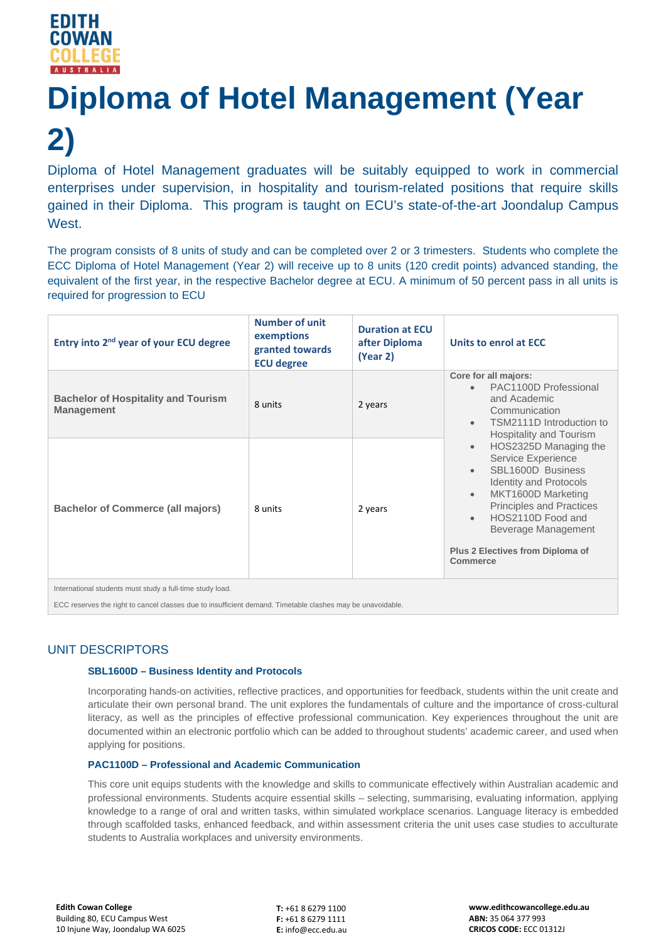# **Diploma of Hotel Management (Year 2)**

Diploma of Hotel Management graduates will be suitably equipped to work in commercial enterprises under supervision, in hospitality and tourism-related positions that require skills gained in their Diploma. This program is taught on ECU's state-of-the-art Joondalup Campus West.

The program consists of 8 units of study and can be completed over 2 or 3 trimesters. Students who complete the ECC Diploma of Hotel Management (Year 2) will receive up to 8 units (120 credit points) advanced standing, the equivalent of the first year, in the respective Bachelor degree at ECU. A minimum of 50 percent pass in all units is required for progression to ECU

| Entry into 2 <sup>nd</sup> year of your ECU degree              | <b>Number of unit</b><br>exemptions<br>granted towards<br><b>ECU degree</b> | <b>Duration at ECU</b><br>after Diploma<br>(Year 2) | Units to enrol at ECC                                                                                                                                                                                                                                                                                                                                                                                                                                                         |
|-----------------------------------------------------------------|-----------------------------------------------------------------------------|-----------------------------------------------------|-------------------------------------------------------------------------------------------------------------------------------------------------------------------------------------------------------------------------------------------------------------------------------------------------------------------------------------------------------------------------------------------------------------------------------------------------------------------------------|
| <b>Bachelor of Hospitality and Tourism</b><br><b>Management</b> | 8 units                                                                     | 2 years                                             | Core for all majors:<br>PAC1100D Professional<br>$\bullet$<br>and Academic<br>Communication<br>TSM2111D Introduction to<br>$\bullet$<br>Hospitality and Tourism<br>HOS2325D Managing the<br>$\bullet$<br>Service Experience<br>SBL1600D Business<br>$\bullet$<br><b>Identity and Protocols</b><br>MKT1600D Marketing<br>$\bullet$<br><b>Principles and Practices</b><br>HOS2110D Food and<br>$\bullet$<br>Beverage Management<br>Plus 2 Electives from Diploma of<br>Commerce |
| <b>Bachelor of Commerce (all majors)</b>                        | 8 units                                                                     | 2 years                                             |                                                                                                                                                                                                                                                                                                                                                                                                                                                                               |
| International students must study a full-time study load.       |                                                                             |                                                     |                                                                                                                                                                                                                                                                                                                                                                                                                                                                               |

ECC reserves the right to cancel classes due to insufficient demand. Timetable clashes may be unavoidable.

# UNIT DESCRIPTORS

## **SBL1600D – Business Identity and Protocols**

Incorporating hands-on activities, reflective practices, and opportunities for feedback, students within the unit create and articulate their own personal brand. The unit explores the fundamentals of culture and the importance of cross-cultural literacy, as well as the principles of effective professional communication. Key experiences throughout the unit are documented within an electronic portfolio which can be added to throughout students' academic career, and used when applying for positions.

## **PAC1100D – Professional and Academic Communication**

This core unit equips students with the knowledge and skills to communicate effectively within Australian academic and professional environments. Students acquire essential skills – selecting, summarising, evaluating information, applying knowledge to a range of oral and written tasks, within simulated workplace scenarios. Language literacy is embedded through scaffolded tasks, enhanced feedback, and within assessment criteria the unit uses case studies to acculturate students to Australia workplaces and university environments.

**T:** +61 8 6279 1100 **F:** +61 8 6279 1111 **E:** info@ecc.edu.au